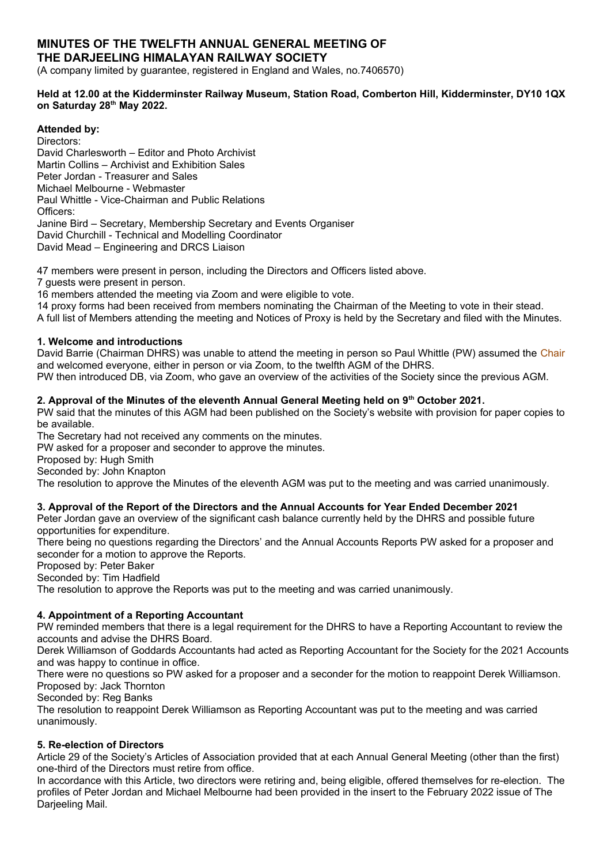# **MINUTES OF THE TWELFTH ANNUAL GENERAL MEETING OF THE DARJEELING HIMALAYAN RAILWAY SOCIETY**

(A company limited by guarantee, registered in England and Wales, no.7406570)

### **Held at 12.00 at the Kidderminster Railway Museum, Station Road, Comberton Hill, Kidderminster, DY10 1QX on Saturday 28th May 2022.**

# **Attended by:**

Directors: David Charlesworth – Editor and Photo Archivist Martin Collins – Archivist and Exhibition Sales Peter Jordan - Treasurer and Sales Michael Melbourne - Webmaster Paul Whittle - Vice-Chairman and Public Relations Officers: Janine Bird – Secretary, Membership Secretary and Events Organiser David Churchill - Technical and Modelling Coordinator David Mead – Engineering and DRCS Liaison

47 members were present in person, including the Directors and Officers listed above.

7 guests were present in person.

16 members attended the meeting via Zoom and were eligible to vote.

14 proxy forms had been received from members nominating the Chairman of the Meeting to vote in their stead.

A full list of Members attending the meeting and Notices of Proxy is held by the Secretary and filed with the Minutes.

### **1. Welcome and introductions**

David Barrie (Chairman DHRS) was unable to attend the meeting in person so Paul Whittle (PW) assumed the Chair and welcomed everyone, either in person or via Zoom, to the twelfth AGM of the DHRS.

PW then introduced DB, via Zoom, who gave an overview of the activities of the Society since the previous AGM.

### **2. Approval of the Minutes of the eleventh Annual General Meeting held on 9th October 2021.**

PW said that the minutes of this AGM had been published on the Society's website with provision for paper copies to be available.

The Secretary had not received any comments on the minutes.

PW asked for a proposer and seconder to approve the minutes.

Proposed by: Hugh Smith

Seconded by: John Knapton

The resolution to approve the Minutes of the eleventh AGM was put to the meeting and was carried unanimously.

### **3. Approval of the Report of the Directors and the Annual Accounts for Year Ended December 2021**

Peter Jordan gave an overview of the significant cash balance currently held by the DHRS and possible future opportunities for expenditure.

There being no questions regarding the Directors' and the Annual Accounts Reports PW asked for a proposer and seconder for a motion to approve the Reports.

Proposed by: Peter Baker

Seconded by: Tim Hadfield

The resolution to approve the Reports was put to the meeting and was carried unanimously.

# **4. Appointment of a Reporting Accountant**

PW reminded members that there is a legal requirement for the DHRS to have a Reporting Accountant to review the accounts and advise the DHRS Board.

Derek Williamson of Goddards Accountants had acted as Reporting Accountant for the Society for the 2021 Accounts and was happy to continue in office.

There were no questions so PW asked for a proposer and a seconder for the motion to reappoint Derek Williamson. Proposed by: Jack Thornton

Seconded by: Reg Banks

The resolution to reappoint Derek Williamson as Reporting Accountant was put to the meeting and was carried unanimously.

### **5. Re-election of Directors**

Article 29 of the Society's Articles of Association provided that at each Annual General Meeting (other than the first) one-third of the Directors must retire from office.

In accordance with this Article, two directors were retiring and, being eligible, offered themselves for re-election. The profiles of Peter Jordan and Michael Melbourne had been provided in the insert to the February 2022 issue of The Darjeeling Mail.